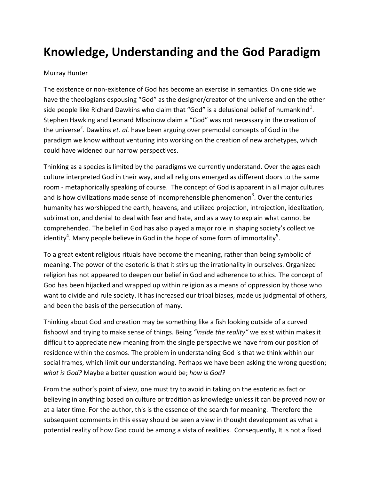## **Knowledge, Understanding and the God Paradigm**

## Murray Hunter

The existence or non-existence of God has become an exercise in semantics. On one side we have the theologians espousing "God" as the designer/creator of the universe and on the other side people like Richard Dawkins who claim that "God" is a delusional belief of humankind<sup>1</sup>. Stephen Hawking and Leonard Mlodinow claim a "God" was not necessary in the creation of the universe<sup>2</sup>. Dawkins *et. al.* have been arguing over premodal concepts of God in the paradigm we know without venturing into working on the creation of new archetypes, which could have widened our narrow perspectives.

Thinking as a species is limited by the paradigms we currently understand. Over the ages each culture interpreted God in their way, and all religions emerged as different doors to the same room - metaphorically speaking of course. The concept of God is apparent in all major cultures and is how civilizations made sense of incomprehensible phenomenon<sup>3</sup>. Over the centuries humanity has worshipped the earth, heavens, and utilized projection, introjection, idealization, sublimation, and denial to deal with fear and hate, and as a way to explain what cannot be comprehended. The belief in God has also played a major role in shaping society's collective identity<sup>4</sup>. Many people believe in God in the hope of some form of immortality<sup>5</sup>.

To a great extent religious rituals have become the meaning, rather than being symbolic of meaning. The power of the esoteric is that it stirs up the irrationality in ourselves. Organized religion has not appeared to deepen our belief in God and adherence to ethics. The concept of God has been hijacked and wrapped up within religion as a means of oppression by those who want to divide and rule society. It has increased our tribal biases, made us judgmental of others, and been the basis of the persecution of many.

Thinking about God and creation may be something like a fish looking outside of a curved fishbowl and trying to make sense of things. Being *"inside the reality"* we exist within makes it difficult to appreciate new meaning from the single perspective we have from our position of residence within the cosmos. The problem in understanding God is that we think within our social frames, which limit our understanding. Perhaps we have been asking the wrong question; *what is God?* Maybe a better question would be; *how is God?*

From the author's point of view, one must try to avoid in taking on the esoteric as fact or believing in anything based on culture or tradition as knowledge unless it can be proved now or at a later time. For the author, this is the essence of the search for meaning. Therefore the subsequent comments in this essay should be seen a view in thought development as what a potential reality of how God could be among a vista of realities. Consequently, It is not a fixed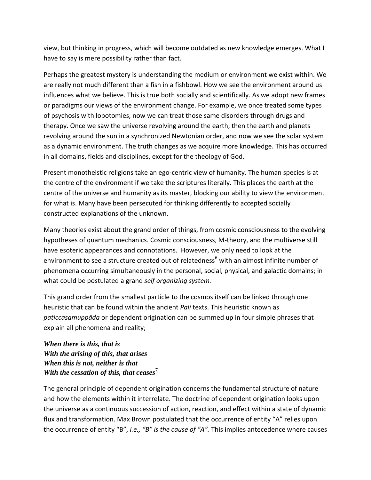view, but thinking in progress, which will become outdated as new knowledge emerges. What I have to say is mere possibility rather than fact.

Perhaps the greatest mystery is understanding the medium or environment we exist within. We are really not much different than a fish in a fishbowl. How we see the environment around us influences what we believe. This is true both socially and scientifically. As we adopt new frames or paradigms our views of the environment change. For example, we once treated some types of psychosis with lobotomies, now we can treat those same disorders through drugs and therapy. Once we saw the universe revolving around the earth, then the earth and planets revolving around the sun in a synchronized Newtonian order, and now we see the solar system as a dynamic environment. The truth changes as we acquire more knowledge. This has occurred in all domains, fields and disciplines, except for the theology of God.

Present monotheistic religions take an ego-centric view of humanity. The human species is at the centre of the environment if we take the scriptures literally. This places the earth at the centre of the universe and humanity as its master, blocking our ability to view the environment for what is. Many have been persecuted for thinking differently to accepted socially constructed explanations of the unknown.

Many theories exist about the grand order of things, from cosmic consciousness to the evolving hypotheses of quantum mechanics. Cosmic consciousness, M-theory, and the multiverse still have esoteric appearances and connotations. However, we only need to look at the environment to see a structure created out of relatedness<sup>6</sup> with an almost infinite number of phenomena occurring simultaneously in the personal, social, physical, and galactic domains; in what could be postulated a grand *self organizing system.*

This grand order from the smallest particle to the cosmos itself can be linked through one heuristic that can be found within the ancient *Pali* texts. This heuristic known as *paticcasamuppāda* or dependent origination can be summed up in four simple phrases that explain all phenomena and reality;

*When there is this, that is With the arising of this, that arises When this is not, neither is that With the cessation of this, that ceases* 

The general principle of dependent origination concerns the fundamental structure of nature and how the elements within it interrelate. The doctrine of dependent origination looks upon the universe as a continuous succession of action, reaction, and effect within a state of dynamic flux and transformation. Max Brown postulated that the occurrence of entity "A" relies upon the occurrence of entity "B", *i.e., "B" is the cause of "A".* This implies antecedence where causes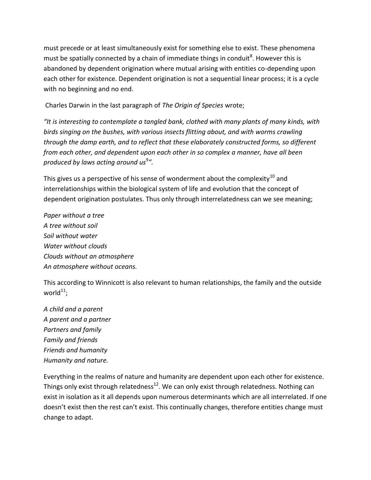must precede or at least simultaneously exist for something else to exist. These phenomena must be spatially connected by a chain of immediate things in conduit<sup>8</sup>. However this is abandoned by dependent origination where mutual arising with entities co-depending upon each other for existence. Dependent origination is not a sequential linear process; it is a cycle with no beginning and no end.

Charles Darwin in the last paragraph of *The Origin of Species* wrote;

*"It is interesting to contemplate a tangled bank, clothed with many plants of many kinds, with birds singing on the bushes, with various insects flitting about, and with worms crawling through the damp earth, and to reflect that these elaborately constructed forms, so different from each other, and dependent upon each other in so complex a manner, have all been produced by laws acting around us*<sup>9</sup> *".*

This gives us a perspective of his sense of wonderment about the complexity<sup>10</sup> and interrelationships within the biological system of life and evolution that the concept of dependent origination postulates. Thus only through interrelatedness can we see meaning;

*Paper without a tree A tree without soil Soil without water Water without clouds Clouds without an atmosphere An atmosphere without oceans.*

This according to Winnicott is also relevant to human relationships, the family and the outside world $^{\rm 11}$ ;

*A child and a parent A parent and a partner Partners and family Family and friends Friends and humanity Humanity and nature.*

Everything in the realms of nature and humanity are dependent upon each other for existence. Things only exist through relatedness<sup>12</sup>. We can only exist through relatedness. Nothing can exist in isolation as it all depends upon numerous determinants which are all interrelated. If one doesn't exist then the rest can't exist. This continually changes, therefore entities change must change to adapt.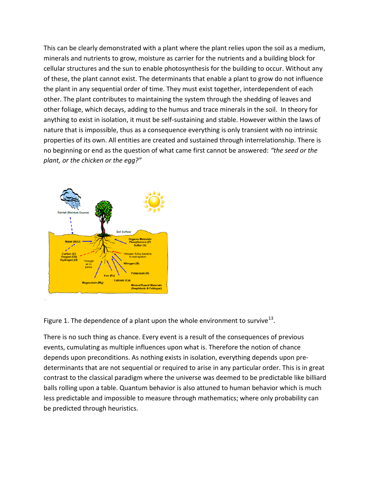This can be clearly demonstrated with a plant where the plant relies upon the soil as a medium, minerals and nutrients to grow, moisture as carrier for the nutrients and a building block for cellular structures and the sun to enable photosynthesis for the building to occur. Without any of these, the plant cannot exist. The determinants that enable a plant to grow do not influence the plant in any sequential order of time. They must exist together, interdependent of each other. The plant contributes to maintaining the system through the shedding of leaves and other foliage, which decays, adding to the humus and trace minerals in the soil. In theory for anything to exist in isolation, it must be self-sustaining and stable. However within the laws of nature that is impossible, thus as a consequence everything is only transient with no intrinsic properties of its own. All entities are created and sustained through interrelationship. There is no beginning or end as the question of what came first cannot be answered: *"the seed or the plant, or the chicken or the egg?"*



Figure 1. The dependence of a plant upon the whole environment to survive<sup>13</sup>.

There is no such thing as chance. Every event is a result of the consequences of previous events, cumulating as multiple influences upon what is. Therefore the notion of chance depends upon preconditions. As nothing exists in isolation, everything depends upon predeterminants that are not sequential or required to arise in any particular order. This is in great contrast to the classical paradigm where the universe was deemed to be predictable like billiard balls rolling upon a table. Quantum behavior is also attuned to human behavior which is much less predictable and impossible to measure through mathematics; where only probability can be predicted through heuristics.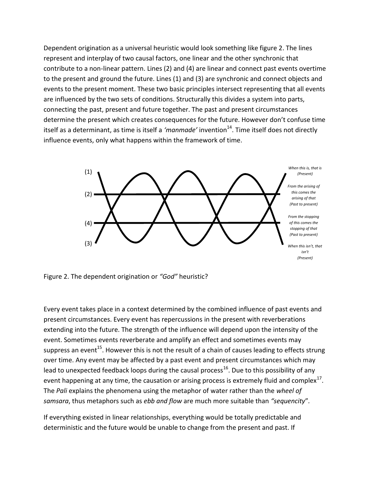Dependent origination as a universal heuristic would look something like figure 2. The lines represent and interplay of two causal factors, one linear and the other synchronic that contribute to a non-linear pattern. Lines (2) and (4) are linear and connect past events overtime to the present and ground the future. Lines (1) and (3) are synchronic and connect objects and events to the present moment. These two basic principles intersect representing that all events are influenced by the two sets of conditions. Structurally this divides a system into parts, connecting the past, present and future together. The past and present circumstances determine the present which creates consequences for the future. However don't confuse time itself as a determinant, as time is itself a 'manmade' invention<sup>14</sup>. Time itself does not directly influence events, only what happens within the framework of time.



Figure 2. The dependent origination or *"God"* heuristic?

Every event takes place in a context determined by the combined influence of past events and present circumstances. Every event has repercussions in the present with reverberations extending into the future. The strength of the influence will depend upon the intensity of the event. Sometimes events reverberate and amplify an effect and sometimes events may suppress an event<sup>15</sup>. However this is not the result of a chain of causes leading to effects strung over time. Any event may be affected by a past event and present circumstances which may lead to unexpected feedback loops during the causal process<sup>16</sup>. Due to this possibility of any event happening at any time, the causation or arising process is extremely fluid and complex<sup>17</sup>. The *Pali* explains the phenomena using the metaphor of water rather than the *wheel of samsara*, thus metaphors such as *ebb and flow* are much more suitable than *"sequencity*"*.*

If everything existed in linear relationships, everything would be totally predictable and deterministic and the future would be unable to change from the present and past. If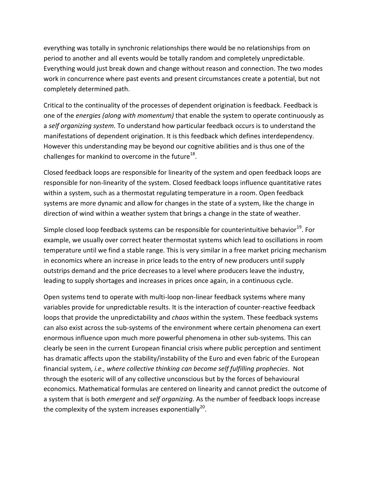everything was totally in synchronic relationships there would be no relationships from on period to another and all events would be totally random and completely unpredictable. Everything would just break down and change without reason and connection. The two modes work in concurrence where past events and present circumstances create a potential, but not completely determined path.

Critical to the continuality of the processes of dependent origination is feedback. Feedback is one of the *energies (along with momentum)* that enable the system to operate continuously as a *self organizing system.* To understand how particular feedback occurs is to understand the manifestations of dependent origination. It is this feedback which defines interdependency. However this understanding may be beyond our cognitive abilities and is thus one of the challenges for mankind to overcome in the future<sup>18</sup>.

Closed feedback loops are responsible for linearity of the system and open feedback loops are responsible for non-linearity of the system. Closed feedback loops influence quantitative rates within a system, such as a thermostat regulating temperature in a room. Open feedback systems are more dynamic and allow for changes in the state of a system, like the change in direction of wind within a weather system that brings a change in the state of weather.

Simple closed loop feedback systems can be responsible for counterintuitive behavior<sup>19</sup>. For example, we usually over correct heater thermostat systems which lead to oscillations in room temperature until we find a stable range. This is very similar in a free market pricing mechanism in economics where an increase in price leads to the entry of new producers until supply outstrips demand and the price decreases to a level where producers leave the industry, leading to supply shortages and increases in prices once again, in a continuous cycle.

Open systems tend to operate with multi-loop non-linear feedback systems where many variables provide for unpredictable results. It is the interaction of counter-reactive feedback loops that provide the unpredictability and *chaos* within the system. These feedback systems can also exist across the sub-systems of the environment where certain phenomena can exert enormous influence upon much more powerful phenomena in other sub-systems. This can clearly be seen in the current European financial crisis where public perception and sentiment has dramatic affects upon the stability/instability of the Euro and even fabric of the European financial system*, i.e., where collective thinking can become self fulfilling prophecies*. Not through the esoteric will of any collective unconscious but by the forces of behavioural economics. Mathematical formulas are centered on linearity and cannot predict the outcome of a system that is both *emergent* and *self organizing.* As the number of feedback loops increase the complexity of the system increases exponentially<sup>20</sup>.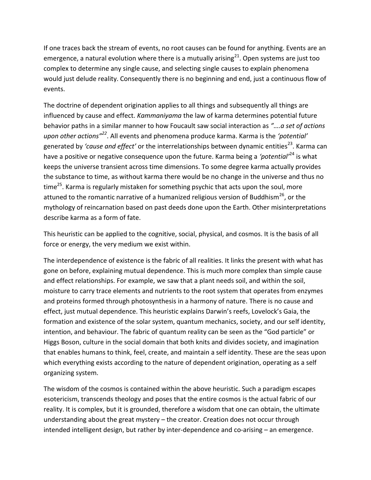If one traces back the stream of events, no root causes can be found for anything. Events are an emergence, a natural evolution where there is a mutually arising $^{21}$ . Open systems are just too complex to determine any single cause, and selecting single causes to explain phenomena would just delude reality. Consequently there is no beginning and end, just a continuous flow of events.

The doctrine of dependent origination applies to all things and subsequently all things are influenced by cause and effect. *Kammaniyama* the law of karma determines potential future behavior paths in a similar manner to how Foucault saw social interaction as *"….a set of actions upon other actions"<sup>22</sup>*. All events and phenomena produce karma. Karma is the *'potential'*  generated by *'cause and effect'* or the interrelationships between dynamic entities<sup>23</sup>. Karma can have a positive or negative consequence upon the future. Karma being a *'potential'*<sup>24</sup> is what keeps the universe transient across time dimensions. To some degree karma actually provides the substance to time, as without karma there would be no change in the universe and thus no time<sup>25</sup>. Karma is regularly mistaken for something psychic that acts upon the soul, more attuned to the romantic narrative of a humanized religious version of Buddhism<sup>26</sup>, or the mythology of reincarnation based on past deeds done upon the Earth. Other misinterpretations describe karma as a form of fate.

This heuristic can be applied to the cognitive, social, physical, and cosmos. It is the basis of all force or energy, the very medium we exist within.

The interdependence of existence is the fabric of all realities. It links the present with what has gone on before, explaining mutual dependence. This is much more complex than simple cause and effect relationships. For example, we saw that a plant needs soil, and within the soil, moisture to carry trace elements and nutrients to the root system that operates from enzymes and proteins formed through photosynthesis in a harmony of nature. There is no cause and effect, just mutual dependence. This heuristic explains Darwin's reefs, Lovelock's Gaia, the formation and existence of the solar system, quantum mechanics, society, and our self identity, intention, and behaviour. The fabric of quantum reality can be seen as the "God particle" or Higgs Boson, culture in the social domain that both knits and divides society, and imagination that enables humans to think, feel, create, and maintain a self identity. These are the seas upon which everything exists according to the nature of dependent origination, operating as a self organizing system.

The wisdom of the cosmos is contained within the above heuristic. Such a paradigm escapes esotericism, transcends theology and poses that the entire cosmos is the actual fabric of our reality. It is complex, but it is grounded, therefore a wisdom that one can obtain, the ultimate understanding about the great mystery – the creator. Creation does not occur through intended intelligent design, but rather by inter-dependence and co-arising – an emergence.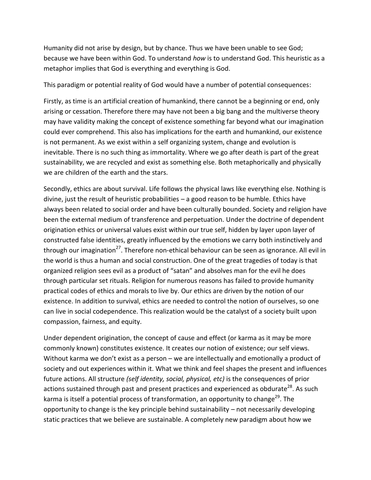Humanity did not arise by design, but by chance. Thus we have been unable to see God; because we have been within God. To understand *how* is to understand God. This heuristic as a metaphor implies that God is everything and everything is God.

This paradigm or potential reality of God would have a number of potential consequences:

Firstly, as time is an artificial creation of humankind, there cannot be a beginning or end, only arising or cessation. Therefore there may have not been a big bang and the multiverse theory may have validity making the concept of existence something far beyond what our imagination could ever comprehend. This also has implications for the earth and humankind, our existence is not permanent. As we exist within a self organizing system, change and evolution is inevitable. There is no such thing as immortality. Where we go after death is part of the great sustainability, we are recycled and exist as something else. Both metaphorically and physically we are children of the earth and the stars.

Secondly, ethics are about survival. Life follows the physical laws like everything else. Nothing is divine, just the result of heuristic probabilities – a good reason to be humble. Ethics have always been related to social order and have been culturally bounded. Society and religion have been the external medium of transference and perpetuation. Under the doctrine of dependent origination ethics or universal values exist within our true self, hidden by layer upon layer of constructed false identities, greatly influenced by the emotions we carry both instinctively and through our imagination<sup>27</sup>. Therefore non-ethical behaviour can be seen as ignorance. All evil in the world is thus a human and social construction. One of the great tragedies of today is that organized religion sees evil as a product of "satan" and absolves man for the evil he does through particular set rituals. Religion for numerous reasons has failed to provide humanity practical codes of ethics and morals to live by. Our ethics are driven by the notion of our existence. In addition to survival, ethics are needed to control the notion of ourselves, so one can live in social codependence. This realization would be the catalyst of a society built upon compassion, fairness, and equity.

Under dependent origination, the concept of cause and effect (or karma as it may be more commonly known) constitutes existence. It creates our notion of existence; our self views. Without karma we don't exist as a person – we are intellectually and emotionally a product of society and out experiences within it. What we think and feel shapes the present and influences future actions. All structure *(self identity, social, physical, etc)* is the consequences of prior actions sustained through past and present practices and experienced as obdurate<sup>28</sup>. As such karma is itself a potential process of transformation, an opportunity to change<sup>29</sup>. The opportunity to change is the key principle behind sustainability – not necessarily developing static practices that we believe are sustainable. A completely new paradigm about how we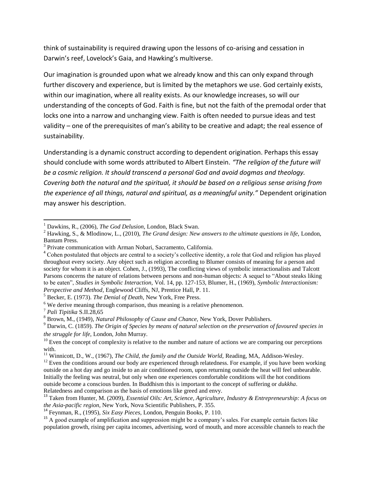think of sustainability is required drawing upon the lessons of co-arising and cessation in Darwin's reef, Lovelock's Gaia, and Hawking's multiverse.

Our imagination is grounded upon what we already know and this can only expand through further discovery and experience, but is limited by the metaphors we use. God certainly exists, within our imagination, where all reality exists. As our knowledge increases, so will our understanding of the concepts of God. Faith is fine, but not the faith of the premodal order that locks one into a narrow and unchanging view. Faith is often needed to pursue ideas and test validity – one of the prerequisites of man's ability to be creative and adapt; the real essence of sustainability.

Understanding is a dynamic construct according to dependent origination. Perhaps this essay should conclude with some words attributed to Albert Einstein. *"The religion of the future will be a cosmic religion. It should transcend a personal God and avoid dogmas and theology. Covering both the natural and the spiritual, it should be based on a religious sense arising from the experience of all things, natural and spiritual, as a meaningful unity."* Dependent origination may answer his description.

<sup>5</sup> Becker, E. (1973). *The Denial of Death,* New York, Free Press.

 $\overline{\phantom{a}}$ 

<sup>1</sup> Dawkins, R., (2006), *The God Delusion,* London, Black Swan.

<sup>2</sup> Hawking, S., & Mlodinow, L., (2010), *The Grand design: New answers to the ultimate questions in life,* London, Bantam Press.

<sup>&</sup>lt;sup>3</sup> Private communication with Arman Nobari, Sacramento, California.

<sup>&</sup>lt;sup>4</sup> Cohen postulated that objects are central to a society's collective identity, a role that God and religion has played throughout every society. Any object such as religion according to Blumer consists of meaning for a person and society for whom it is an object. Cohen, J., (1993), The conflicting views of symbolic interactionalists and Talcott Parsons concerns the nature of relations between persons and non-human objects: A sequel to "About steaks liking to be eaten", *Studies in Symbolic Interaction,* Vol. 14, pp. 127-153, Blumer, H., (1969), *Symbolic Interactionism: Perspective and Method,* Englewood Cliffs, NJ, Prentice Hall, P. 11.

 $6$  We derive meaning through comparison, thus meaning is a relative phenomenon.

<sup>7</sup> *Pali Tipitika* S.II.28,65

<sup>8</sup> Brown, M., (1949), *Natural Philosophy of Cause and Chance,* New York, Dover Publishers.

<sup>9</sup> Darwin, C. (1859). *The Origin of Species by means of natural selection on the preservation of favoured species in the struggle for life,* London, John Murray.

 $10$  Even the concept of complexity is relative to the number and nature of actions we are comparing our perceptions with.

<sup>&</sup>lt;sup>11</sup> Winnicott, D., W., (1967), *The Child, the family and the Outside World*, Reading, MA, Addison-Wesley.

 $12$  Even the conditions around our body are experienced through relatedness. For example, if you have been working outside on a hot day and go inside to an air conditioned room, upon returning outside the heat will feel unbearable. Initially the feeling was neutral, but only when one experiences comfortable conditions will the hot conditions outside become a conscious burden. In Buddhism this is important to the concept of suffering or *dukkha*. Relatedness and comparison as the basis of emotions like greed and envy.

<sup>13</sup> Taken from Hunter, M. (2009), *Essential Oils: Art, Science, Agriculture, Industry & Entrepreneurship: A focus on the Asia-pacific region,* New York, Nova Scientific Publishers, P. 355.

<sup>14</sup> Feynman, R., (1995), *Six Easy Pieces,* London, Penguin Books, P. 110.

<sup>&</sup>lt;sup>15</sup> A good example of amplification and suppression might be a company's sales. For example certain factors like population growth, rising per capita incomes, advertising, word of mouth, and more accessible channels to reach the